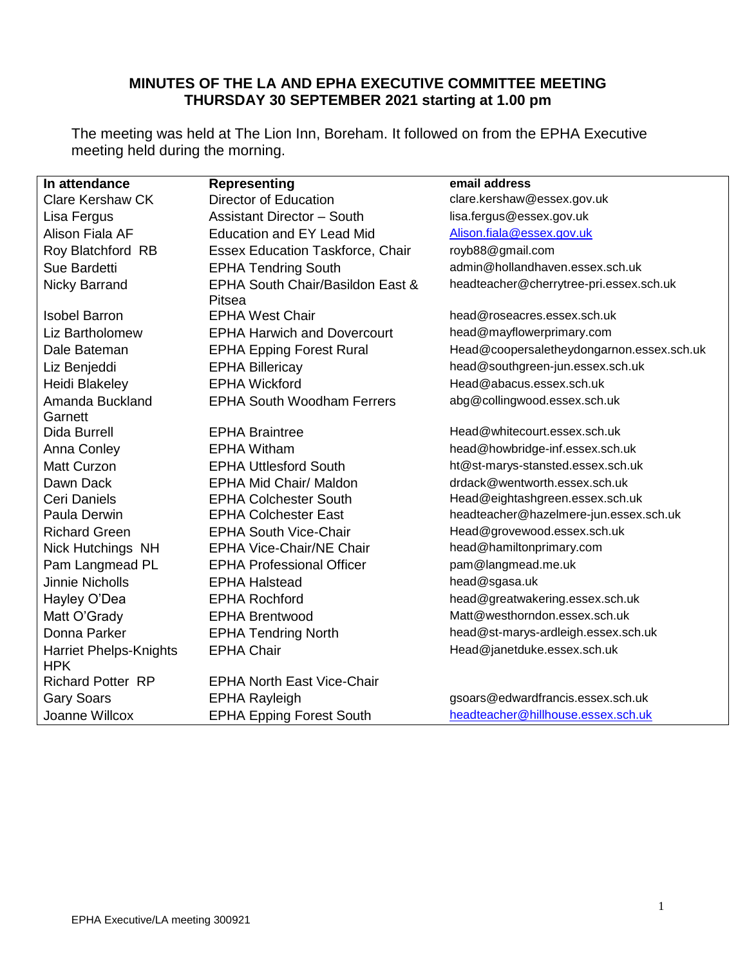# **MINUTES OF THE LA AND EPHA EXECUTIVE COMMITTEE MEETING THURSDAY 30 SEPTEMBER 2021 starting at 1.00 pm**

The meeting was held at The Lion Inn, Boreham. It followed on from the EPHA Executive meeting held during the morning.

| In attendance                               | <b>Representing</b>                     | email address                             |  |  |
|---------------------------------------------|-----------------------------------------|-------------------------------------------|--|--|
| <b>Clare Kershaw CK</b>                     | <b>Director of Education</b>            | clare.kershaw@essex.gov.uk                |  |  |
| Lisa Fergus                                 | <b>Assistant Director - South</b>       | lisa.fergus@essex.gov.uk                  |  |  |
| Alison Fiala AF                             | <b>Education and EY Lead Mid</b>        | Alison.fiala@essex.gov.uk                 |  |  |
| Roy Blatchford RB                           | <b>Essex Education Taskforce, Chair</b> | royb88@gmail.com                          |  |  |
| Sue Bardetti                                | <b>EPHA Tendring South</b>              | admin@hollandhaven.essex.sch.uk           |  |  |
| <b>Nicky Barrand</b>                        | EPHA South Chair/Basildon East &        | headteacher@cherrytree-pri.essex.sch.uk   |  |  |
|                                             | Pitsea                                  |                                           |  |  |
| <b>Isobel Barron</b>                        | <b>EPHA West Chair</b>                  | head@roseacres.essex.sch.uk               |  |  |
| <b>Liz Bartholomew</b>                      | <b>EPHA Harwich and Dovercourt</b>      | head@mayflowerprimary.com                 |  |  |
| Dale Bateman                                | <b>EPHA Epping Forest Rural</b>         | Head@coopersaletheydongarnon.essex.sch.uk |  |  |
| Liz Benjeddi                                | <b>EPHA Billericay</b>                  | head@southgreen-jun.essex.sch.uk          |  |  |
| Heidi Blakeley                              | <b>EPHA Wickford</b>                    | Head@abacus.essex.sch.uk                  |  |  |
| Amanda Buckland                             | <b>EPHA South Woodham Ferrers</b>       | abg@collingwood.essex.sch.uk              |  |  |
| Garnett                                     |                                         |                                           |  |  |
| <b>Dida Burrell</b>                         | <b>EPHA Braintree</b>                   | Head@whitecourt.essex.sch.uk              |  |  |
| Anna Conley                                 | <b>EPHA Witham</b>                      | head@howbridge-inf.essex.sch.uk           |  |  |
| <b>Matt Curzon</b>                          | <b>EPHA Uttlesford South</b>            | ht@st-marys-stansted.essex.sch.uk         |  |  |
| Dawn Dack                                   | <b>EPHA Mid Chair/ Maldon</b>           | drdack@wentworth.essex.sch.uk             |  |  |
| Ceri Daniels                                | <b>EPHA Colchester South</b>            | Head@eightashgreen.essex.sch.uk           |  |  |
| Paula Derwin                                | <b>EPHA Colchester East</b>             | headteacher@hazelmere-jun.essex.sch.uk    |  |  |
| <b>Richard Green</b>                        | <b>EPHA South Vice-Chair</b>            | Head@grovewood.essex.sch.uk               |  |  |
| Nick Hutchings NH                           | <b>EPHA Vice-Chair/NE Chair</b>         | head@hamiltonprimary.com                  |  |  |
| Pam Langmead PL                             | <b>EPHA Professional Officer</b>        | pam@langmead.me.uk                        |  |  |
| <b>Jinnie Nicholls</b>                      | <b>EPHA Halstead</b>                    | head@sgasa.uk                             |  |  |
| Hayley O'Dea                                | <b>EPHA Rochford</b>                    | head@greatwakering.essex.sch.uk           |  |  |
| Matt O'Grady                                | <b>EPHA Brentwood</b>                   | Matt@westhorndon.essex.sch.uk             |  |  |
| Donna Parker                                | <b>EPHA Tendring North</b>              | head@st-marys-ardleigh.essex.sch.uk       |  |  |
| <b>Harriet Phelps-Knights</b><br><b>HPK</b> | <b>EPHA Chair</b>                       | Head@janetduke.essex.sch.uk               |  |  |
| <b>Richard Potter RP</b>                    | <b>EPHA North East Vice-Chair</b>       |                                           |  |  |
| <b>Gary Soars</b>                           | <b>EPHA Rayleigh</b>                    | gsoars@edwardfrancis.essex.sch.uk         |  |  |
| Joanne Willcox                              | <b>EPHA Epping Forest South</b>         | headteacher@hillhouse.essex.sch.uk        |  |  |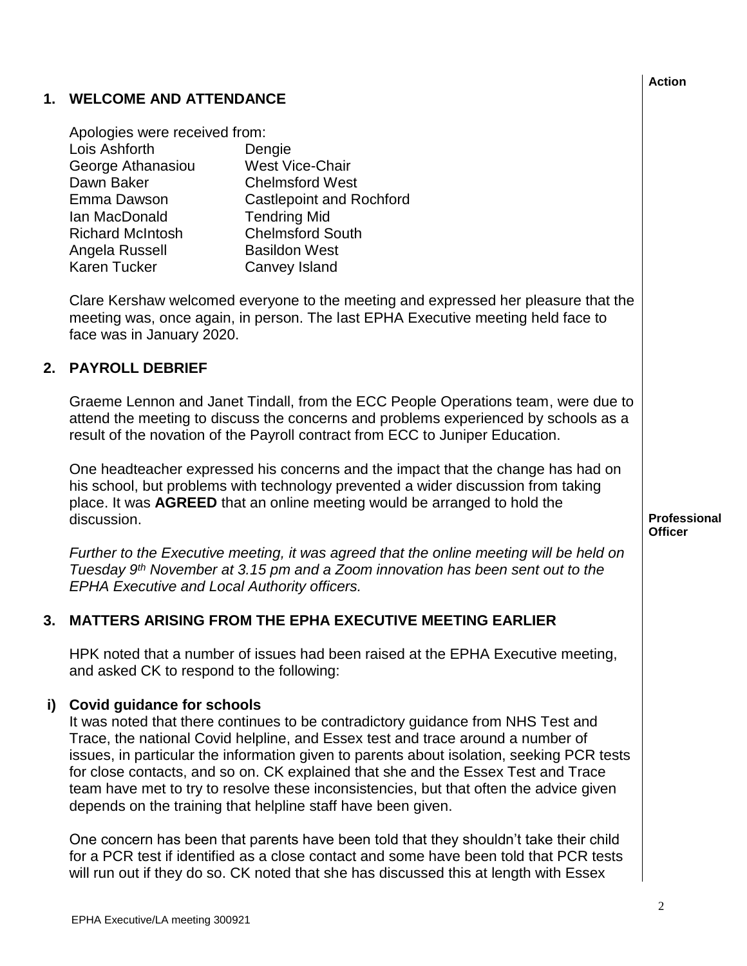# Emma Dawson Castlepoint and Rochford Ian MacDonald Tendring Mid Richard McIntosh Chelmsford South Angela Russell Basildon West Karen Tucker Canvey Island Clare Kershaw welcomed everyone to the meeting and expressed her pleasure that the meeting was, once again, in person. The last EPHA Executive meeting held face to face was in January 2020. Graeme Lennon and Janet Tindall, from the ECC People Operations team, were due to attend the meeting to discuss the concerns and problems experienced by schools as a result of the novation of the Payroll contract from ECC to Juniper Education. One headteacher expressed his concerns and the impact that the change has had on his school, but problems with technology prevented a wider discussion from taking place. It was **AGREED** that an online meeting would be arranged to hold the discussion. *Further to the Executive meeting, it was agreed that the online meeting will be held on Tuesday 9th November at 3.15 pm and a Zoom innovation has been sent out to the EPHA Executive and Local Authority officers.* **i) Covid guidance for schools** HPK noted that a number of issues had been raised at the EPHA Executive meeting, and asked CK to respond to the following: It was noted that there continues to be contradictory guidance from NHS Test and Trace, the national Covid helpline, and Essex test and trace around a number of issues, in particular the information given to parents about isolation, seeking PCR tests for close contacts, and so on. CK explained that she and the Essex Test and Trace team have met to try to resolve these inconsistencies, but that often the advice given depends on the training that helpline staff have been given. One concern has been that parents have been told that they shouldn't take their child for a PCR test if identified as a close contact and some have been told that PCR tests will run out if they do so. CK noted that she has discussed this at length with Essex

EPHA Executive/LA meeting 300921

Dawn Baker Chelmsford West

**1. WELCOME AND ATTENDANCE**

Apologies were received from:

Lois Ashforth Dengie George Athanasiou West Vice-Chair

### **2. PAYROLL DEBRIEF**

# **3. MATTERS ARISING FROM THE EPHA EXECUTIVE MEETING EARLIER**

**Action**

**Professional Officer**

2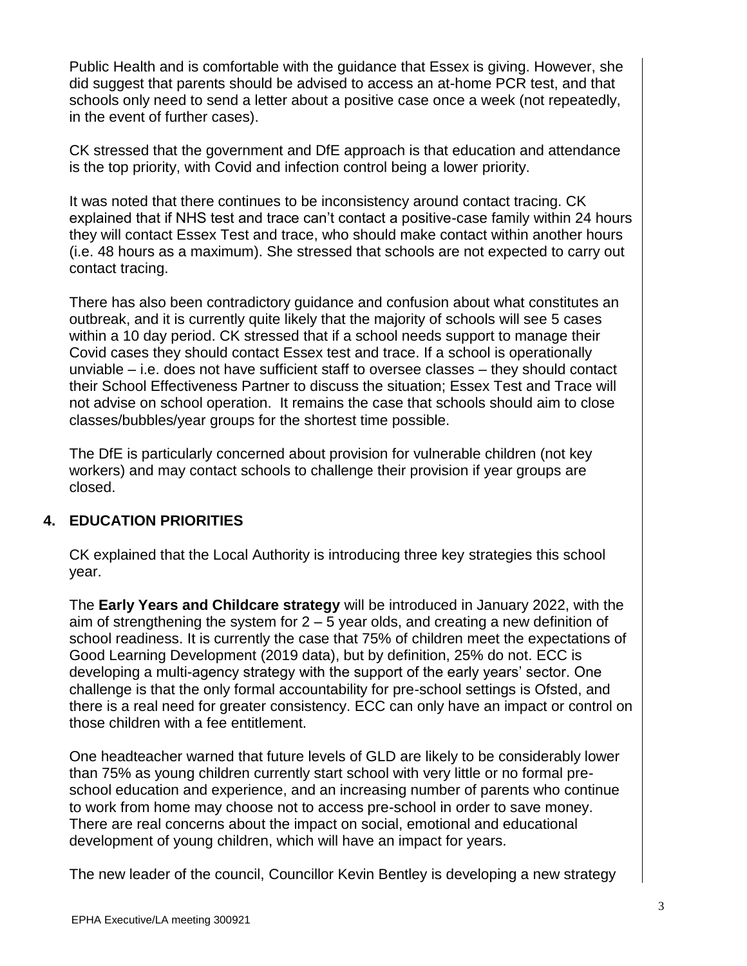Public Health and is comfortable with the guidance that Essex is giving. However, she did suggest that parents should be advised to access an at-home PCR test, and that schools only need to send a letter about a positive case once a week (not repeatedly, in the event of further cases).

CK stressed that the government and DfE approach is that education and attendance is the top priority, with Covid and infection control being a lower priority.

It was noted that there continues to be inconsistency around contact tracing. CK explained that if NHS test and trace can't contact a positive-case family within 24 hours they will contact Essex Test and trace, who should make contact within another hours (i.e. 48 hours as a maximum). She stressed that schools are not expected to carry out contact tracing.

There has also been contradictory guidance and confusion about what constitutes an outbreak, and it is currently quite likely that the majority of schools will see 5 cases within a 10 day period. CK stressed that if a school needs support to manage their Covid cases they should contact Essex test and trace. If a school is operationally unviable – i.e. does not have sufficient staff to oversee classes – they should contact their School Effectiveness Partner to discuss the situation; Essex Test and Trace will not advise on school operation. It remains the case that schools should aim to close classes/bubbles/year groups for the shortest time possible.

The DfE is particularly concerned about provision for vulnerable children (not key workers) and may contact schools to challenge their provision if year groups are closed.

# **4. EDUCATION PRIORITIES**

CK explained that the Local Authority is introducing three key strategies this school year.

The **Early Years and Childcare strategy** will be introduced in January 2022, with the aim of strengthening the system for 2 – 5 year olds, and creating a new definition of school readiness. It is currently the case that 75% of children meet the expectations of Good Learning Development (2019 data), but by definition, 25% do not. ECC is developing a multi-agency strategy with the support of the early years' sector. One challenge is that the only formal accountability for pre-school settings is Ofsted, and there is a real need for greater consistency. ECC can only have an impact or control on those children with a fee entitlement.

One headteacher warned that future levels of GLD are likely to be considerably lower than 75% as young children currently start school with very little or no formal preschool education and experience, and an increasing number of parents who continue to work from home may choose not to access pre-school in order to save money. There are real concerns about the impact on social, emotional and educational development of young children, which will have an impact for years.

The new leader of the council, Councillor Kevin Bentley is developing a new strategy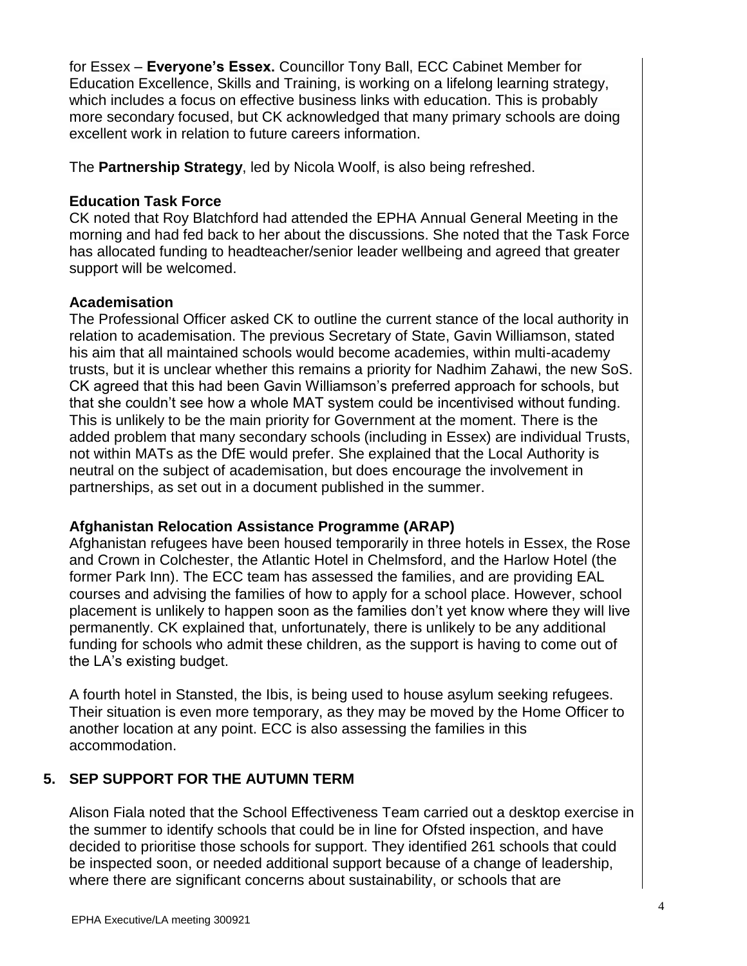for Essex – **Everyone's Essex.** Councillor Tony Ball, ECC Cabinet Member for Education Excellence, Skills and Training, is working on a lifelong learning strategy, which includes a focus on effective business links with education. This is probably more secondary focused, but CK acknowledged that many primary schools are doing excellent work in relation to future careers information.

The **Partnership Strategy**, led by Nicola Woolf, is also being refreshed.

### **Education Task Force**

CK noted that Roy Blatchford had attended the EPHA Annual General Meeting in the morning and had fed back to her about the discussions. She noted that the Task Force has allocated funding to headteacher/senior leader wellbeing and agreed that greater support will be welcomed.

### **Academisation**

The Professional Officer asked CK to outline the current stance of the local authority in relation to academisation. The previous Secretary of State, Gavin Williamson, stated his aim that all maintained schools would become academies, within multi-academy trusts, but it is unclear whether this remains a priority for Nadhim Zahawi, the new SoS. CK agreed that this had been Gavin Williamson's preferred approach for schools, but that she couldn't see how a whole MAT system could be incentivised without funding. This is unlikely to be the main priority for Government at the moment. There is the added problem that many secondary schools (including in Essex) are individual Trusts, not within MATs as the DfE would prefer. She explained that the Local Authority is neutral on the subject of academisation, but does encourage the involvement in partnerships, as set out in a document published in the summer.

# **Afghanistan Relocation Assistance Programme (ARAP)**

Afghanistan refugees have been housed temporarily in three hotels in Essex, the Rose and Crown in Colchester, the Atlantic Hotel in Chelmsford, and the Harlow Hotel (the former Park Inn). The ECC team has assessed the families, and are providing EAL courses and advising the families of how to apply for a school place. However, school placement is unlikely to happen soon as the families don't yet know where they will live permanently. CK explained that, unfortunately, there is unlikely to be any additional funding for schools who admit these children, as the support is having to come out of the LA's existing budget.

A fourth hotel in Stansted, the Ibis, is being used to house asylum seeking refugees. Their situation is even more temporary, as they may be moved by the Home Officer to another location at any point. ECC is also assessing the families in this accommodation.

# **5. SEP SUPPORT FOR THE AUTUMN TERM**

Alison Fiala noted that the School Effectiveness Team carried out a desktop exercise in the summer to identify schools that could be in line for Ofsted inspection, and have decided to prioritise those schools for support. They identified 261 schools that could be inspected soon, or needed additional support because of a change of leadership, where there are significant concerns about sustainability, or schools that are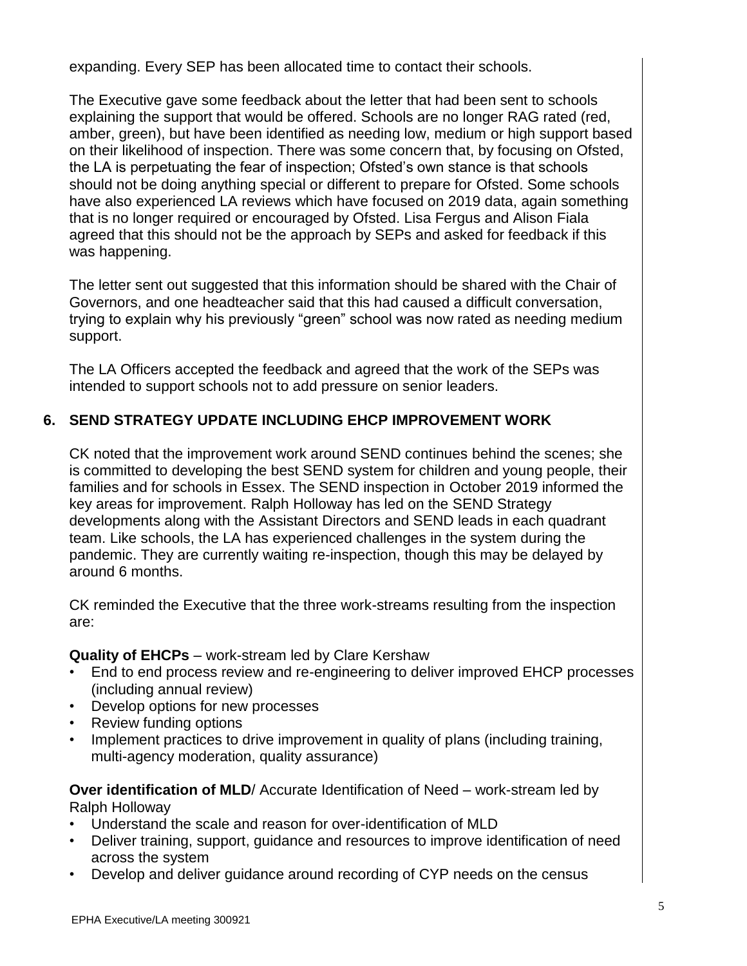expanding. Every SEP has been allocated time to contact their schools.

The Executive gave some feedback about the letter that had been sent to schools explaining the support that would be offered. Schools are no longer RAG rated (red, amber, green), but have been identified as needing low, medium or high support based on their likelihood of inspection. There was some concern that, by focusing on Ofsted, the LA is perpetuating the fear of inspection; Ofsted's own stance is that schools should not be doing anything special or different to prepare for Ofsted. Some schools have also experienced LA reviews which have focused on 2019 data, again something that is no longer required or encouraged by Ofsted. Lisa Fergus and Alison Fiala agreed that this should not be the approach by SEPs and asked for feedback if this was happening.

The letter sent out suggested that this information should be shared with the Chair of Governors, and one headteacher said that this had caused a difficult conversation, trying to explain why his previously "green" school was now rated as needing medium support.

The LA Officers accepted the feedback and agreed that the work of the SEPs was intended to support schools not to add pressure on senior leaders.

# **6. SEND STRATEGY UPDATE INCLUDING EHCP IMPROVEMENT WORK**

CK noted that the improvement work around SEND continues behind the scenes; she is committed to developing the best SEND system for children and young people, their families and for schools in Essex. The SEND inspection in October 2019 informed the key areas for improvement. Ralph Holloway has led on the SEND Strategy developments along with the Assistant Directors and SEND leads in each quadrant team. Like schools, the LA has experienced challenges in the system during the pandemic. They are currently waiting re-inspection, though this may be delayed by around 6 months.

CK reminded the Executive that the three work-streams resulting from the inspection are:

### **Quality of EHCPs** – work-stream led by Clare Kershaw

- End to end process review and re-engineering to deliver improved EHCP processes (including annual review)
- Develop options for new processes
- Review funding options
- Implement practices to drive improvement in quality of plans (including training, multi-agency moderation, quality assurance)

**Over identification of MLD**/ Accurate Identification of Need – work-stream led by Ralph Holloway

- Understand the scale and reason for over-identification of MLD
- Deliver training, support, guidance and resources to improve identification of need across the system
- Develop and deliver guidance around recording of CYP needs on the census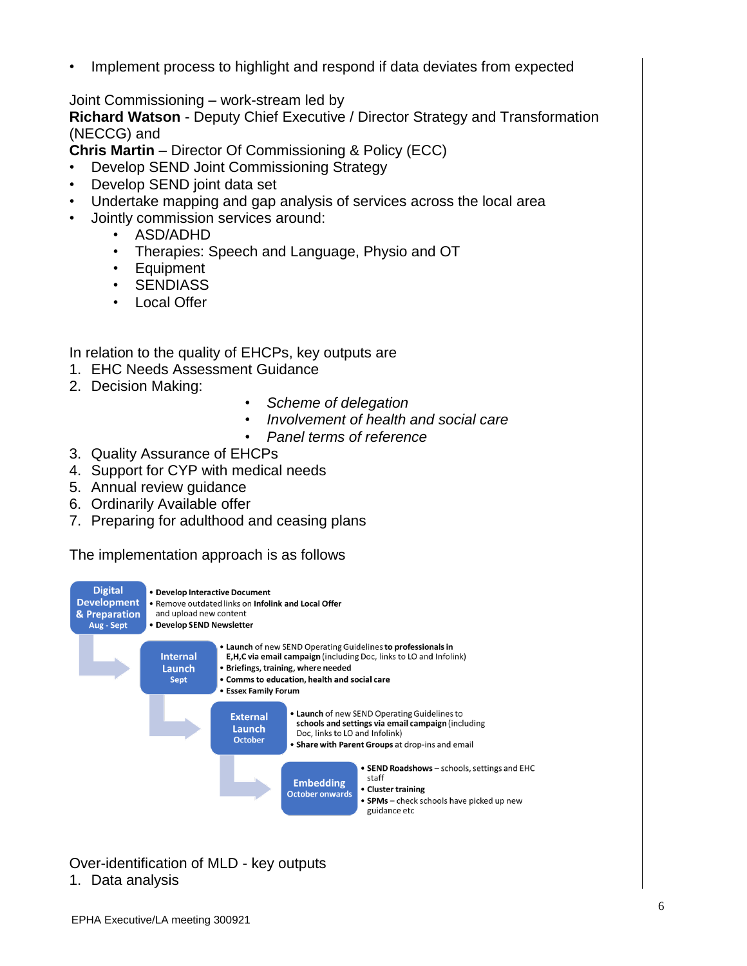Implement process to highlight and respond if data deviates from expected

Joint Commissioning – work-stream led by

**Richard Watson** - Deputy Chief Executive / Director Strategy and Transformation (NECCG) and

**Chris Martin** – Director Of Commissioning & Policy (ECC)

- Develop SEND Joint Commissioning Strategy
- Develop SEND joint data set
- Undertake mapping and gap analysis of services across the local area
- Jointly commission services around:
	- ASD/ADHD
	- Therapies: Speech and Language, Physio and OT
	- Equipment
	- SENDIASS
	- Local Offer

In relation to the quality of EHCPs, key outputs are

- 1. EHC Needs Assessment Guidance
- 2. Decision Making:
- *Scheme of delegation*
- *Involvement of health and social care*
- *Panel terms of reference*
- 3. Quality Assurance of EHCPs
- 4. Support for CYP with medical needs
- 5. Annual review guidance
- 6. Ordinarily Available offer
- 7. Preparing for adulthood and ceasing plans

The implementation approach is as follows



Over-identification of MLD - key outputs

# 1. Data analysis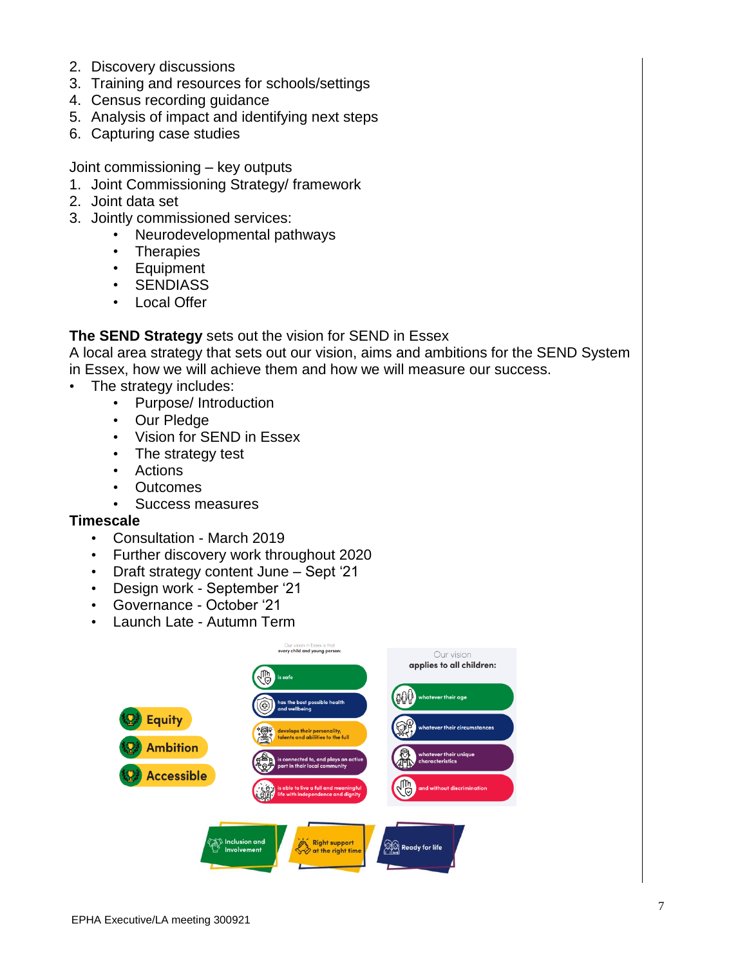- 2. Discovery discussions
- 3. Training and resources for schools/settings
- 4. Census recording guidance
- 5. Analysis of impact and identifying next steps
- 6. Capturing case studies

Joint commissioning – key outputs

- 1. Joint Commissioning Strategy/ framework
- 2. Joint data set
- 3. Jointly commissioned services:
	- Neurodevelopmental pathways
	- Therapies
	- Equipment
	- SENDIASS
	- Local Offer

### **The SEND Strategy** sets out the vision for SEND in Essex

A local area strategy that sets out our vision, aims and ambitions for the SEND System in Essex, how we will achieve them and how we will measure our success.

- The strategy includes:
	- Purpose/ Introduction
	- Our Pledge
	- Vision for SEND in Essex
	- The strategy test
	- Actions
	- Outcomes
	- Success measures

#### **Timescale**

- Consultation March 2019
- Further discovery work throughout 2020
- Draft strategy content June Sept '21
- Design work September '21
- Governance October '21
- Launch Late Autumn Term

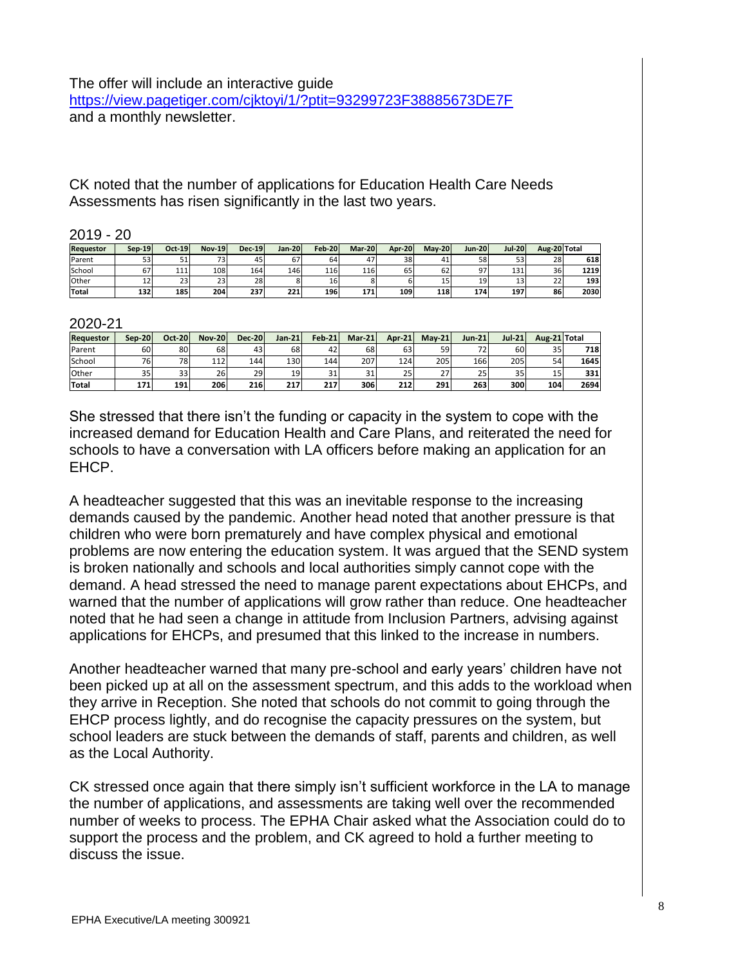CK noted that the number of applications for Education Health Care Needs Assessments has risen significantly in the last two years.

#### 2019 - 20

| <b>Requestor</b> | $Sep-19$ | $Oct-19$ | <b>Nov-19</b> | $Dec-19$ | Jan-20     | <b>Feb-20</b> | Mar-20 | <b>Apr-20</b> | <b>Mav-20</b> | <b>Jun-20</b> | <b>Jul-20</b> | Aug-20 Total |      |
|------------------|----------|----------|---------------|----------|------------|---------------|--------|---------------|---------------|---------------|---------------|--------------|------|
| Parent           | 53       | 51       | 73            | 45       | 67         | 64            | 47     | 38            | 41            | 58            | 53            | 28           | 618  |
| School           | $\sigma$ | 111      | 108           | 164      | 146        | 116           | 116    | 65            | 62            | 97            | 131           | 36           | 1219 |
| Other            | ᅭ        | 23       | 23            | 28       |            | 16            |        |               | 15            | 19            | 'د1           | 22           | 193  |
| Total            | 132      | 185      | 204           | 237      | <b>221</b> | 196           | 171    | 109           | <b>118</b>    | 174           | 197           | 86           | 2030 |

2020-21

| <b>Requestor</b> | Sep-20 | <b>Oct-201</b> | <b>Nov-20</b> | <b>Dec-20</b> | $Jan-21$ | <b>Feb-21</b> | $Mar-21$ | <b>Apr-21</b> | $Mav-21$   | Jun-21 l | <b>Jul-21</b>   | Aug-21 Total |      |
|------------------|--------|----------------|---------------|---------------|----------|---------------|----------|---------------|------------|----------|-----------------|--------------|------|
| Parent           | 60     | 80             | 68            | 43            | 68l      | 42            | 68       | 63            | 59         | フつ       | 601             | 35           | 718  |
| School           | 76     | 78             | 112           | 144           | 130      | 144           | 207      | 124           | 205        | 166      | 205             | 54           | 1645 |
| Other            | 35     | 33             | 26            | 29            | 19       | 21.           | 31       | 25            | 771<br>، ے | 25       | 35 <sup>5</sup> | 15           | 331  |
| Total            | 171    | 191            | 206           | 216           | 217      | 217           | 306      | 212           | 291        | 263      | 300             | 104          | 2694 |

She stressed that there isn't the funding or capacity in the system to cope with the increased demand for Education Health and Care Plans, and reiterated the need for schools to have a conversation with LA officers before making an application for an EHCP.

A headteacher suggested that this was an inevitable response to the increasing demands caused by the pandemic. Another head noted that another pressure is that children who were born prematurely and have complex physical and emotional problems are now entering the education system. It was argued that the SEND system is broken nationally and schools and local authorities simply cannot cope with the demand. A head stressed the need to manage parent expectations about EHCPs, and warned that the number of applications will grow rather than reduce. One headteacher noted that he had seen a change in attitude from Inclusion Partners, advising against applications for EHCPs, and presumed that this linked to the increase in numbers.

Another headteacher warned that many pre-school and early years' children have not been picked up at all on the assessment spectrum, and this adds to the workload when they arrive in Reception. She noted that schools do not commit to going through the EHCP process lightly, and do recognise the capacity pressures on the system, but school leaders are stuck between the demands of staff, parents and children, as well as the Local Authority.

CK stressed once again that there simply isn't sufficient workforce in the LA to manage the number of applications, and assessments are taking well over the recommended number of weeks to process. The EPHA Chair asked what the Association could do to support the process and the problem, and CK agreed to hold a further meeting to discuss the issue.